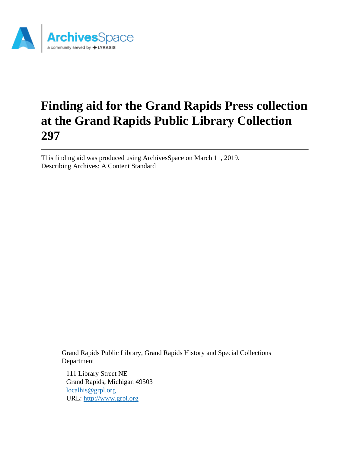

# **Finding aid for the Grand Rapids Press collection at the Grand Rapids Public Library Collection 297**

This finding aid was produced using ArchivesSpace on March 11, 2019. Describing Archives: A Content Standard

> Grand Rapids Public Library, Grand Rapids History and Special Collections Department

111 Library Street NE Grand Rapids, Michigan 49503 [localhis@grpl.org](mailto:localhis@grpl.org) URL:<http://www.grpl.org>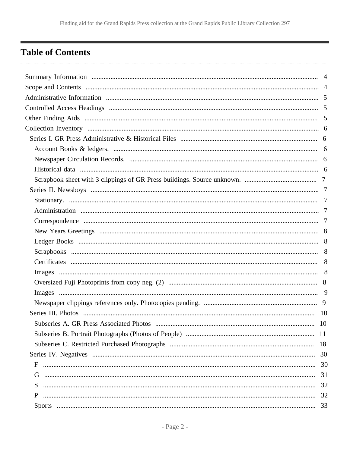## <span id="page-1-0"></span>**Table of Contents**

| Subseries A. GR Press Associated Photos | 10 |
|-----------------------------------------|----|
|                                         |    |
|                                         |    |
|                                         |    |
| F                                       |    |
| G                                       | 31 |
| S.                                      |    |
| P                                       |    |
|                                         | 33 |
|                                         |    |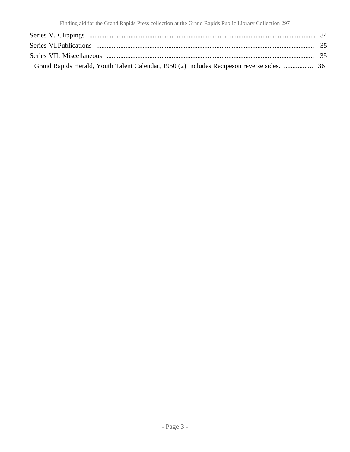| Grand Rapids Herald, Youth Talent Calendar, 1950 (2) Includes Recipeson reverse sides.  36 |  |
|--------------------------------------------------------------------------------------------|--|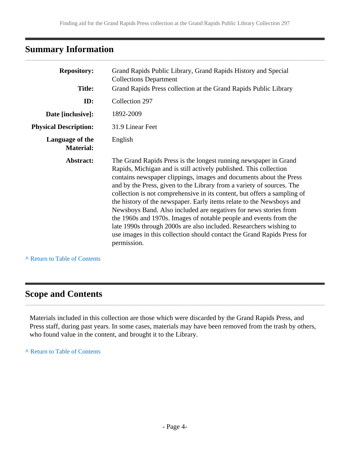## <span id="page-3-0"></span>**Summary Information**

| <b>Repository:</b>                  | Grand Rapids Public Library, Grand Rapids History and Special<br><b>Collections Department</b>                                                                                                                                                                                                                                                                                                                                                                                                                                                                                                                                                                                                                                                    |
|-------------------------------------|---------------------------------------------------------------------------------------------------------------------------------------------------------------------------------------------------------------------------------------------------------------------------------------------------------------------------------------------------------------------------------------------------------------------------------------------------------------------------------------------------------------------------------------------------------------------------------------------------------------------------------------------------------------------------------------------------------------------------------------------------|
| <b>Title:</b>                       | Grand Rapids Press collection at the Grand Rapids Public Library                                                                                                                                                                                                                                                                                                                                                                                                                                                                                                                                                                                                                                                                                  |
| ID:                                 | Collection 297                                                                                                                                                                                                                                                                                                                                                                                                                                                                                                                                                                                                                                                                                                                                    |
| Date [inclusive]:                   | 1892-2009                                                                                                                                                                                                                                                                                                                                                                                                                                                                                                                                                                                                                                                                                                                                         |
| <b>Physical Description:</b>        | 31.9 Linear Feet                                                                                                                                                                                                                                                                                                                                                                                                                                                                                                                                                                                                                                                                                                                                  |
| Language of the<br><b>Material:</b> | English                                                                                                                                                                                                                                                                                                                                                                                                                                                                                                                                                                                                                                                                                                                                           |
| Abstract:                           | The Grand Rapids Press is the longest running newspaper in Grand<br>Rapids, Michigan and is still actively published. This collection<br>contains newspaper clippings, images and documents about the Press<br>and by the Press, given to the Library from a variety of sources. The<br>collection is not comprehensive in its content, but offers a sampling of<br>the history of the newspaper. Early items relate to the Newsboys and<br>Newsboys Band. Also included are negatives for news stories from<br>the 1960s and 1970s. Images of notable people and events from the<br>late 1990s through 2000s are also included. Researchers wishing to<br>use images in this collection should contact the Grand Rapids Press for<br>permission. |

#### **^** [Return to Table of Contents](#page-1-0)

## <span id="page-3-1"></span>**Scope and Contents**

Materials included in this collection are those which were discarded by the Grand Rapids Press, and Press staff, during past years. In some cases, materials may have been removed from the trash by others, who found value in the content, and brought it to the Library.

**^** [Return to Table of Contents](#page-1-0)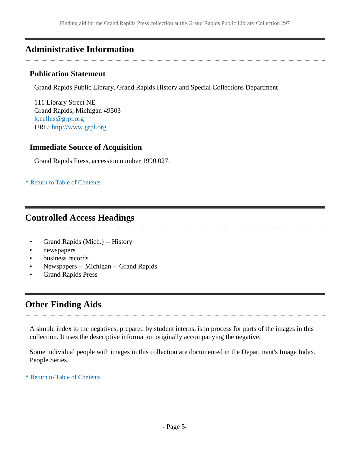## <span id="page-4-0"></span>**Administrative Information**

#### **Publication Statement**

Grand Rapids Public Library, Grand Rapids History and Special Collections Department

111 Library Street NE Grand Rapids, Michigan 49503 [localhis@grpl.org](mailto:localhis@grpl.org) URL:<http://www.grpl.org>

### **Immediate Source of Acquisition**

Grand Rapids Press, accession number 1990.027.

#### **^** [Return to Table of Contents](#page-1-0)

## <span id="page-4-1"></span>**Controlled Access Headings**

- Grand Rapids (Mich.) -- History
- newspapers
- business records
- Newspapers -- Michigan -- Grand Rapids
- Grand Rapids Press

## <span id="page-4-2"></span>**Other Finding Aids**

A simple index to the negatives, prepared by student interns, is in process for parts of the images in this collection. It uses the descriptive information originally accompanying the negative.

Some individual people with images in this collection are documented in the Department's Image Index. People Series.

**^** [Return to Table of Contents](#page-1-0)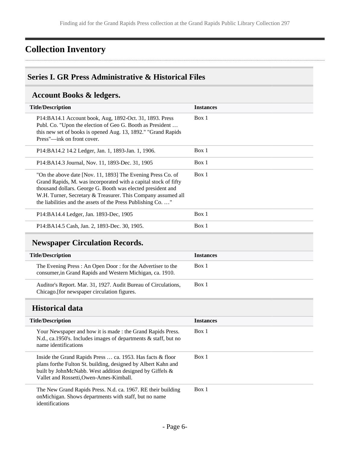## <span id="page-5-0"></span>**Collection Inventory**

### <span id="page-5-1"></span>**Series I. GR Press Administrative & Historical Files**

## <span id="page-5-2"></span>**Account Books & ledgers.**

| <b>Title/Description</b>                                                                                                                                                                                                                                                                                                    | <b>Instances</b> |
|-----------------------------------------------------------------------------------------------------------------------------------------------------------------------------------------------------------------------------------------------------------------------------------------------------------------------------|------------------|
| P14:BA14.1 Account book, Aug, 1892-Oct. 31, 1893. Press<br>Publ. Co. "Upon the election of Geo G. Booth as President<br>this new set of books is opened Aug. 13, 1892." "Grand Rapids<br>Press"—ink on front cover.                                                                                                         | Box 1            |
| P14:BA14.2 14.2 Ledger, Jan. 1, 1893-Jan. 1, 1906.                                                                                                                                                                                                                                                                          | Box 1            |
| P14:BA14.3 Journal, Nov. 11, 1893-Dec. 31, 1905                                                                                                                                                                                                                                                                             | Box 1            |
| "On the above date [Nov. 11, 1893] The Evening Press Co. of<br>Grand Rapids, M. was incorporated with a capital stock of fifty<br>thousand dollars. George G. Booth was elected president and<br>W.H. Turner, Secretary & Treasurer. This Company assumed all<br>the liabilities and the assets of the Press Publishing Co" | Box 1            |
| P14:BA14.4 Ledger, Jan. 1893-Dec, 1905                                                                                                                                                                                                                                                                                      | Box 1            |
| P14:BA14.5 Cash, Jan. 2, 1893-Dec. 30, 1905.                                                                                                                                                                                                                                                                                | Box 1            |

## <span id="page-5-3"></span>**Newspaper Circulation Records.**

| <b>Title/Description</b>                                                                                                | <b>Instances</b> |
|-------------------------------------------------------------------------------------------------------------------------|------------------|
| The Evening Press: An Open Door: for the Advertiser to the<br>consumer, in Grand Rapids and Western Michigan, ca. 1910. | Box 1            |
| Auditor's Report. Mar. 31, 1927. Audit Bureau of Circulations,<br>Chicago. [for newspaper circulation figures.          | Box 1            |

### <span id="page-5-4"></span>**Historical data**

| <b>Title/Description</b>                                                                                                                                                                                                            | <b>Instances</b> |
|-------------------------------------------------------------------------------------------------------------------------------------------------------------------------------------------------------------------------------------|------------------|
| Your Newspaper and how it is made: the Grand Rapids Press.<br>N.d., ca.1950's. Includes images of departments & staff, but no<br>name identifications                                                                               | Box 1            |
| Inside the Grand Rapids Press  ca. 1953. Has facts & floor<br>plans for the Fulton St. building, designed by Albert Kahn and<br>built by JohnMcNabb. West addition designed by Giffels &<br>Vallet and Rossetti, Owen-Ames-Kimball. | Box 1            |
| The New Grand Rapids Press. N.d. ca. 1967. RE their building<br>onMichigan. Shows departments with staff, but no name<br>identifications                                                                                            | Box 1            |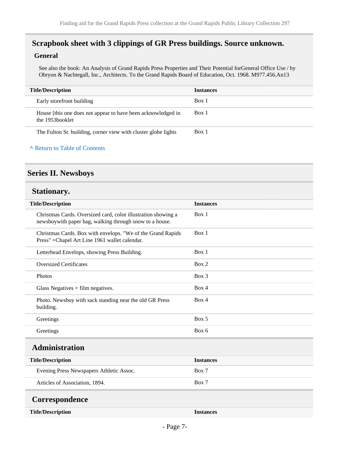## <span id="page-6-0"></span>**Scrapbook sheet with 3 clippings of GR Press buildings. Source unknown.**

#### **General**

See also the book: An Analysis of Grand Rapids Press Properties and Their Potential forGeneral Office Use / by Obryon & Nachtegall, Inc., Architects. To the Grand Rapids Board of Education, Oct. 1968. M977.456.An13

| <b>Title/Description</b>                                                        | <b>Instances</b> |
|---------------------------------------------------------------------------------|------------------|
| Early storefront building                                                       | Box 1            |
| House [this one does not appear to have been acknowledged in<br>the 1953booklet | Box 1            |
| The Fulton St. building, corner view with cluster globe lights                  | Box 1            |

#### **^** [Return to Table of Contents](#page-1-0)

### <span id="page-6-1"></span>**Series II. Newsboys**

#### <span id="page-6-2"></span>**Stationary.**

<span id="page-6-4"></span><span id="page-6-3"></span>

| <b>Title/Description</b>                                                                                                 | <b>Instances</b> |
|--------------------------------------------------------------------------------------------------------------------------|------------------|
| Christmas Cards. Oversized card, color illustration showing a<br>newsboywith paper bag, walking through snow to a house. | Box 1            |
| Christmas Cards. Box with envelops. "We of the Grand Rapids<br>Press" +Chapel Art Line 1961 wallet calendar.             | Box 1            |
| Letterhead Envelops, showing Press Building.                                                                             | Box 1            |
| <b>Oversized Certificates</b>                                                                                            | Box 2            |
| <b>Photos</b>                                                                                                            | $Box$ 3          |
| Glass Negatives $+$ film negatives.                                                                                      | Box 4            |
| Photo. Newsboy with sack standing near the old GR Press<br>building.                                                     | Box 4            |
| Greetings                                                                                                                | Box 5            |
| Greetings                                                                                                                | Box 6            |
| <b>Administration</b>                                                                                                    |                  |
| <b>Title/Description</b>                                                                                                 | <b>Instances</b> |
| Evening Press Newspapers Athletic Assoc.                                                                                 | Box 7            |
| Articles of Association, 1894.                                                                                           | Box 7            |
| Correspondence                                                                                                           |                  |
| <b>Title/Description</b>                                                                                                 | <b>Instances</b> |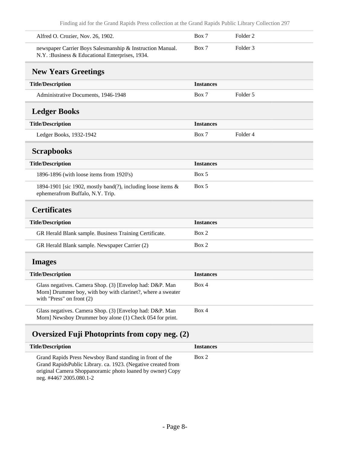<span id="page-7-2"></span><span id="page-7-1"></span><span id="page-7-0"></span>

| Alfred O. Crozier, Nov. 26, 1902.                                                                                                                      | Box 7            | Folder <sub>2</sub> |  |
|--------------------------------------------------------------------------------------------------------------------------------------------------------|------------------|---------------------|--|
| newspaper Carrier Boys Salesmanship & Instruction Manual.<br>N.Y. : Business & Educational Enterprises, 1934.                                          | Box 7            | Folder <sub>3</sub> |  |
| <b>New Years Greetings</b>                                                                                                                             |                  |                     |  |
| <b>Title/Description</b>                                                                                                                               | <b>Instances</b> |                     |  |
| Administrative Documents, 1946-1948                                                                                                                    | Box 7            | Folder 5            |  |
| <b>Ledger Books</b>                                                                                                                                    |                  |                     |  |
| <b>Title/Description</b>                                                                                                                               | <b>Instances</b> |                     |  |
| Ledger Books, 1932-1942                                                                                                                                | Box 7            | Folder <sub>4</sub> |  |
| <b>Scrapbooks</b>                                                                                                                                      |                  |                     |  |
| <b>Title/Description</b>                                                                                                                               | <b>Instances</b> |                     |  |
| 1896-1896 (with loose items from 1920's)                                                                                                               | Box 5            |                     |  |
| 1894-1901 [sic 1902, mostly band(?), including loose items &<br>ephemerafrom Buffalo, N.Y. Trip.                                                       | Box 5            |                     |  |
| <b>Certificates</b>                                                                                                                                    |                  |                     |  |
| <b>Title/Description</b>                                                                                                                               | <b>Instances</b> |                     |  |
| GR Herald Blank sample. Business Training Certificate.                                                                                                 | Box 2            |                     |  |
| GR Herald Blank sample. Newspaper Carrier (2)                                                                                                          | Box 2            |                     |  |
| <b>Images</b>                                                                                                                                          |                  |                     |  |
| <b>Title/Description</b>                                                                                                                               | <b>Instances</b> |                     |  |
| Glass negatives. Camera Shop. (3) [Envelop had: D&P. Man<br>Morn] Drummer boy, with boy with clarinet?, where a sweater<br>with "Press" on front $(2)$ | Box 4            |                     |  |
| Glass negatives. Camera Shop. (3) [Envelop had: D&P. Man<br>Morn] Newsboy Drummer boy alone (1) Check 054 for print.                                   | Box 4            |                     |  |
| Oversized Fuji Photoprints from copy neg. (2)                                                                                                          |                  |                     |  |
| <b>Title/Description</b>                                                                                                                               | <b>Instances</b> |                     |  |
| Grand Rapids Press Newsboy Band standing in front of the<br>Grand RapidsPublic Library. ca. 1923. (Negative created from                               | Box 2            |                     |  |

<span id="page-7-5"></span><span id="page-7-4"></span><span id="page-7-3"></span>original Camera Shoppanoramic photo loaned by owner) Copy

neg. #4467 2005.080.1-2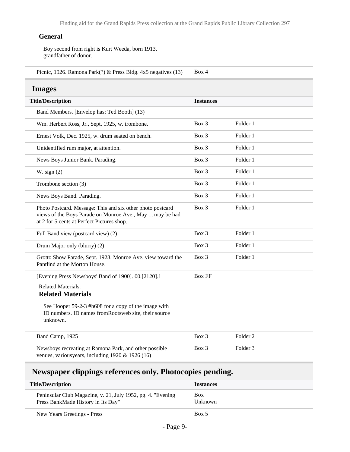#### **General**

Boy second from right is Kurt Weeda, born 1913, grandfather of donor.

Picnic, 1926. Ramona Park(?) & Press Bldg. 4x5 negatives (13) Box 4

#### <span id="page-8-0"></span>**Images**

| <b>Title/Description</b>                                                                                                                                               | <b>Instances</b> |                     |  |
|------------------------------------------------------------------------------------------------------------------------------------------------------------------------|------------------|---------------------|--|
| Band Members. [Envelop has: Ted Booth] (13)                                                                                                                            |                  |                     |  |
| Wm. Herbert Ross, Jr., Sept. 1925, w. trombone.                                                                                                                        | Box 3            | Folder 1            |  |
| Ernest Volk, Dec. 1925, w. drum seated on bench.                                                                                                                       | Box 3            | Folder 1            |  |
| Unidentified rum major, at attention.                                                                                                                                  | Box 3            | Folder 1            |  |
| News Boys Junior Bank. Parading.                                                                                                                                       | Box 3            | Folder 1            |  |
| W. sign $(2)$                                                                                                                                                          | Box 3            | Folder 1            |  |
| Trombone section (3)                                                                                                                                                   | Box 3            | Folder 1            |  |
| News Boys Band. Parading.                                                                                                                                              | Box 3            | Folder 1            |  |
| Photo Postcard. Message: This and six other photo postcard<br>views of the Boys Parade on Monroe Ave., May 1, may be had<br>at 2 for 5 cents at Perfect Pictures shop. | Box 3            | Folder 1            |  |
| Full Band view (postcard view) (2)                                                                                                                                     | Box 3            | Folder 1            |  |
| Drum Major only (blurry) (2)                                                                                                                                           | $Box$ 3          | Folder 1            |  |
| Grotto Show Parade, Sept. 1928. Monroe Ave. view toward the<br>Pantlind at the Morton House.                                                                           | $Box$ 3          | Folder 1            |  |
| [Evening Press Newsboys' Band of 1900]. 00.[2120].1                                                                                                                    | <b>Box FF</b>    |                     |  |
| <b>Related Materials:</b><br><b>Related Materials</b>                                                                                                                  |                  |                     |  |
| See Hooper 59-2-3 #h608 for a copy of the image with<br>ID numbers. ID names from Rootsweb site, their source<br>unknown.                                              |                  |                     |  |
| Band Camp, 1925                                                                                                                                                        | Box 3            | Folder <sub>2</sub> |  |
| Newsboys recreating at Ramona Park, and other possible<br>venues, variousyears, including $1920 \& 1926(16)$                                                           | Box 3            | Folder <sub>3</sub> |  |

## <span id="page-8-1"></span>**Newspaper clippings references only. Photocopies pending.**

| <b>Title/Description</b>                                                                          | <b>Instances</b>      |
|---------------------------------------------------------------------------------------------------|-----------------------|
| Peninsular Club Magazine, v. 21, July 1952, pg. 4. "Evening<br>Press BankMade History in Its Day" | <b>Box</b><br>Unknown |
| New Years Greetings - Press                                                                       | Box 5                 |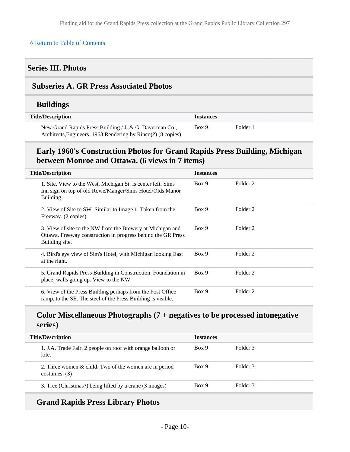#### **^** [Return to Table of Contents](#page-1-0)

#### <span id="page-9-0"></span>**Series III. Photos**

#### <span id="page-9-1"></span>**Subseries A. GR Press Associated Photos**

#### **Buildings**

| <b>Title/Description</b>                                                                                                | <b>Instances</b> |          |
|-------------------------------------------------------------------------------------------------------------------------|------------------|----------|
| New Grand Rapids Press Building / J. & G. Daverman Co.,<br>Architects, Engineers. 1963 Rendering by Rinco(?) (8 copies) | Box 9            | Folder 1 |

### **Early 1960's Construction Photos for Grand Rapids Press Building, Michigan between Monroe and Ottawa. (6 views in 7 items)**

| <b>Title/Description</b>                                                                                                                     | <b>Instances</b> |          |
|----------------------------------------------------------------------------------------------------------------------------------------------|------------------|----------|
| 1. Site. View to the West, Michigan St. is center left. Sims<br>Inn sign on top of old Rowe/Manger/Sims Hotel/Olds Manor<br>Building.        | Box 9            | Folder 2 |
| 2. View of Site to SW. Similar to Image 1. Taken from the<br>Freeway. (2 copies)                                                             | Box 9            | Folder 2 |
| 3. View of site to the NW from the Brewery at Michigan and<br>Ottawa. Freeway construction in progress behind the GR Press<br>Building site. | Box 9            | Folder 2 |
| 4. Bird's eye view of Sim's Hotel, with Michigan looking East<br>at the right.                                                               | Box 9            | Folder 2 |
| 5. Grand Rapids Press Building in Construction. Foundation in<br>place, walls going up. View to the NW                                       | Box 9            | Folder 2 |
| 6. View of the Press Building perhaps from the Post Office<br>ramp, to the SE. The steel of the Press Building is visible.                   | Box 9            | Folder 2 |

### **Color Miscellaneous Photographs (7 + negatives to be processed intonegative series)**

| <b>Title/Description</b>                                                     | <b>Instances</b> |                     |
|------------------------------------------------------------------------------|------------------|---------------------|
| 1. J.A. Trade Fair. 2 people on roof with orange balloon or<br>kite.         | Box 9            | Folder 3            |
| 2. Three women $\&$ child. Two of the women are in period<br>costumes. $(3)$ | Box 9            | Folder 3            |
| 3. Tree (Christmas?) being lifted by a crane (3 images)                      | Box 9            | Folder <sub>3</sub> |

### **Grand Rapids Press Library Photos**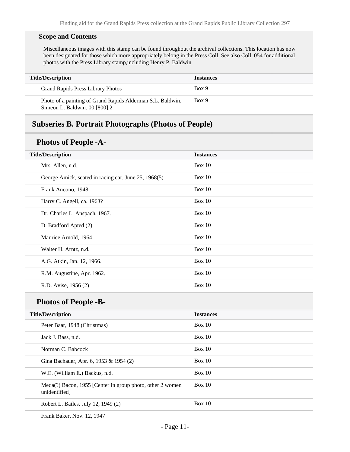#### **Scope and Contents**

Miscellaneous images with this stamp can be found throughout the archival collections. This location has now been designated for those which more appropriately belong in the Press Coll. See also Coll. 054 for additional photos with the Press Library stamp,including Henry P. Baldwin

| <b>Title/Description</b>                                                                    | <i><u><b>Instances</b></u></i> |
|---------------------------------------------------------------------------------------------|--------------------------------|
| Grand Rapids Press Library Photos                                                           | Box 9                          |
| Photo of a painting of Grand Rapids Alderman S.L. Baldwin,<br>Simeon L. Baldwin. 00.[800].2 | Box 9                          |

### <span id="page-10-0"></span>**Subseries B. Portrait Photographs (Photos of People)**

### **Photos of People -A-**

| <b>Title/Description</b>                             | <b>Instances</b> |
|------------------------------------------------------|------------------|
| Mrs. Allen, n.d.                                     | Box 10           |
| George Amick, seated in racing car, June 25, 1968(5) | Box $10$         |
| Frank Ancono, 1948                                   | Box $10$         |
| Harry C. Angell, ca. 1963?                           | Box 10           |
| Dr. Charles L. Anspach, 1967.                        | Box $10$         |
| D. Bradford Apted (2)                                | Box 10           |
| Maurice Arnold, 1964.                                | Box 10           |
| Walter H. Arntz, n.d.                                | <b>Box 10</b>    |
| A.G. Atkin, Jan. 12, 1966.                           | Box 10           |
| R.M. Augustine, Apr. 1962.                           | Box 10           |
| R.D. Avise, 1956 (2)                                 | <b>Box 10</b>    |
|                                                      |                  |

### **Photos of People -B-**

| <b>Title/Description</b>                                                   | <b>Instances</b> |
|----------------------------------------------------------------------------|------------------|
| Peter Baar, 1948 (Christmas)                                               | Box 10           |
| Jack J. Bass, n.d.                                                         | Box 10           |
| Norman C. Babcock                                                          | Box 10           |
| Gina Bachauer, Apr. 6, 1953 & 1954 (2)                                     | Box 10           |
| W.E. (William E.) Backus, n.d.                                             | Box 10           |
| Meda(?) Bacon, 1955 [Center in group photo, other 2 women<br>unidentified] | Box 10           |
| Robert L. Bailes, July 12, 1949 (2)                                        | Box 10           |

Frank Baker, Nov. 12, 1947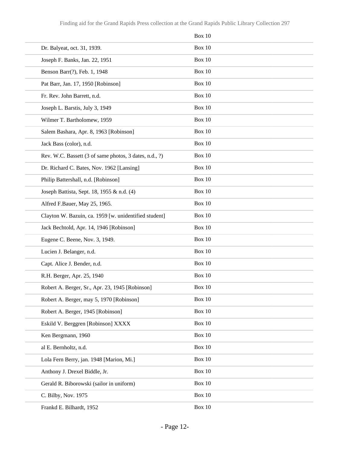|                                                        | Box 10        |
|--------------------------------------------------------|---------------|
| Dr. Balyeat, oct. 31, 1939.                            | <b>Box 10</b> |
| Joseph F. Banks, Jan. 22, 1951                         | Box 10        |
| Benson Barr(?), Feb. 1, 1948                           | <b>Box 10</b> |
| Pat Barr, Jan. 17, 1950 [Robinson]                     | Box 10        |
| Fr. Rev. John Barrett, n.d.                            | Box 10        |
| Joseph L. Barstis, July 3, 1949                        | <b>Box 10</b> |
| Wilmer T. Bartholomew, 1959                            | Box 10        |
| Salem Bashara, Apr. 8, 1963 [Robinson]                 | Box 10        |
| Jack Bass (color), n.d.                                | Box 10        |
| Rev. W.C. Bassett (3 of same photos, 3 dates, n.d., ?) | Box 10        |
| Dr. Richard C. Bates, Nov. 1962 [Lansing]              | <b>Box 10</b> |
| Philip Battershall, n.d. [Robinson]                    | Box 10        |
| Joseph Battista, Sept. 18, 1955 & n.d. (4)             | Box 10        |
| Alfred F.Bauer, May 25, 1965.                          | <b>Box 10</b> |
| Clayton W. Bazuin, ca. 1959 [w. unidentified student]  | Box 10        |
| Jack Bechtold, Apr. 14, 1946 [Robinson]                | Box 10        |
| Eugene C. Beene, Nov. 3, 1949.                         | Box 10        |
| Lucien J. Belanger, n.d.                               | Box 10        |
| Capt. Alice J. Bender, n.d.                            | <b>Box 10</b> |
| R.H. Berger, Apr. 25, 1940                             | Box 10        |
| Robert A. Berger, Sr., Apr. 23, 1945 [Robinson]        | <b>Box 10</b> |
| Robert A. Berger, may 5, 1970 [Robinson]               | <b>Box 10</b> |
| Robert A. Berger, 1945 [Robinson]                      | <b>Box 10</b> |
| Eskild V. Berggren [Robinson] XXXX                     | <b>Box 10</b> |
| Ken Bergmann, 1960                                     | <b>Box 10</b> |
| al E. Bernholtz, n.d.                                  | <b>Box 10</b> |
| Lola Fern Berry, jan. 1948 [Marion, Mi.]               | <b>Box 10</b> |
| Anthony J. Drexel Biddle, Jr.                          | <b>Box 10</b> |
| Gerald R. Biborowski (sailor in uniform)               | <b>Box 10</b> |
| C. Bilby, Nov. 1975                                    | <b>Box 10</b> |
| Frankd E. Bilhardt, 1952                               | Box 10        |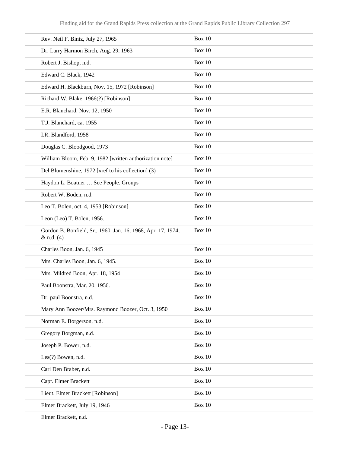| Rev. Neil F. Bintz, July 27, 1965                                            | Box 10        |
|------------------------------------------------------------------------------|---------------|
| Dr. Larry Harmon Birch, Aug. 29, 1963                                        | <b>Box 10</b> |
| Robert J. Bishop, n.d.                                                       | <b>Box 10</b> |
| Edward C. Black, 1942                                                        | <b>Box 10</b> |
| Edward H. Blackburn, Nov. 15, 1972 [Robinson]                                | <b>Box 10</b> |
| Richard W. Blake, 1966(?) [Robinson]                                         | <b>Box 10</b> |
| E.R. Blanchard, Nov. 12, 1950                                                | <b>Box 10</b> |
| T.J. Blanchard, ca. 1955                                                     | <b>Box 10</b> |
| I.R. Blandford, 1958                                                         | <b>Box 10</b> |
| Douglas C. Bloodgood, 1973                                                   | <b>Box 10</b> |
| William Bloom, Feb. 9, 1982 [written authorization note]                     | <b>Box 10</b> |
| Del Blumenshine, 1972 [xref to his collection] (3)                           | <b>Box 10</b> |
| Haydon L. Boatner  See People. Groups                                        | <b>Box 10</b> |
| Robert W. Boden, n.d.                                                        | <b>Box 10</b> |
| Leo T. Bolen, oct. 4, 1953 [Robinson]                                        | <b>Box 10</b> |
| Leon (Leo) T. Bolen, 1956.                                                   | <b>Box 10</b> |
| Gordon B. Bonfield, Sr., 1960, Jan. 16, 1968, Apr. 17, 1974,<br>$&$ n.d. (4) | <b>Box 10</b> |
| Charles Boon, Jan. 6, 1945                                                   | <b>Box 10</b> |
| Mrs. Charles Boon, Jan. 6, 1945.                                             | Box 10        |
| Mrs. Mildred Boon, Apr. 18, 1954                                             | Box 10        |
| Paul Boonstra, Mar. 20, 1956.                                                | Box 10        |
| Dr. paul Boonstra, n.d.                                                      | <b>Box 10</b> |
| Mary Ann Boozer/Mrs. Raymond Boozer, Oct. 3, 1950                            | <b>Box 10</b> |
| Norman E. Borgerson, n.d.                                                    | <b>Box 10</b> |
| Gregory Borgman, n.d.                                                        | <b>Box 10</b> |
| Joseph P. Bower, n.d.                                                        | <b>Box 10</b> |
| Les(?) Bowen, n.d.                                                           | <b>Box 10</b> |
| Carl Den Braber, n.d.                                                        | <b>Box 10</b> |
| Capt. Elmer Brackett                                                         | <b>Box 10</b> |
| Lieut. Elmer Brackett [Robinson]                                             | <b>Box 10</b> |
| Elmer Brackett, July 19, 1946                                                | <b>Box 10</b> |
|                                                                              |               |

Elmer Brackett, n.d.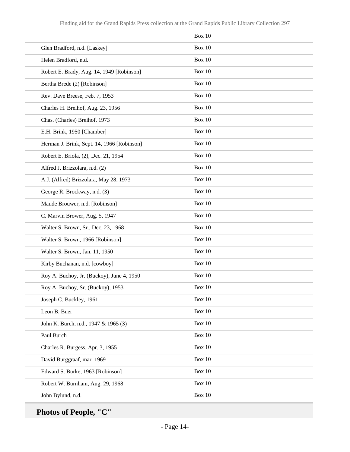|                                            | Box 10        |
|--------------------------------------------|---------------|
| Glen Bradford, n.d. [Laskey]               | Box 10        |
| Helen Bradford, n.d.                       | Box 10        |
| Robert E. Brady, Aug. 14, 1949 [Robinson]  | <b>Box 10</b> |
| Bertha Brede (2) [Robinson]                | Box 10        |
| Rev. Dave Breese, Feb. 7, 1953             | Box 10        |
| Charles H. Breihof, Aug. 23, 1956          | Box 10        |
| Chas. (Charles) Breihof, 1973              | <b>Box 10</b> |
| E.H. Brink, 1950 [Chamber]                 | Box 10        |
| Herman J. Brink, Sept. 14, 1966 [Robinson] | Box 10        |
| Robert E. Briola, (2), Dec. 21, 1954       | Box 10        |
| Alfred J. Brizzolara, n.d. (2)             | <b>Box 10</b> |
| A.J. (Alfred) Brizzolara, May 28, 1973     | Box 10        |
| George R. Brockway, n.d. (3)               | Box 10        |
| Maude Brouwer, n.d. [Robinson]             | Box 10        |
| C. Marvin Brower, Aug. 5, 1947             | <b>Box 10</b> |
| Walter S. Brown, Sr., Dec. 23, 1968        | Box 10        |
| Walter S. Brown, 1966 [Robinson]           | Box 10        |
| Walter S. Brown, Jan. 11, 1950             | Box 10        |
| Kirby Buchanan, n.d. [cowboy]              | Box 10        |
| Roy A. Buchoy, Jr. (Buckoy), June 4, 1950  | Box 10        |
| Roy A. Buchoy, Sr. (Buckoy), 1953          | <b>Box 10</b> |
| Joseph C. Buckley, 1961                    | <b>Box 10</b> |
| Leon B. Buer                               | <b>Box 10</b> |
| John K. Burch, n.d., 1947 & 1965 (3)       | Box $10$      |
| Paul Burch                                 | Box $10$      |
| Charles R. Burgess, Apr. 3, 1955           | <b>Box 10</b> |
| David Burggraaf, mar. 1969                 | Box $10$      |
| Edward S. Burke, 1963 [Robinson]           | <b>Box 10</b> |
| Robert W. Burnham, Aug. 29, 1968           | Box $10$      |
| John Bylund, n.d.                          | Box $10$      |

**Photos of People, "C"**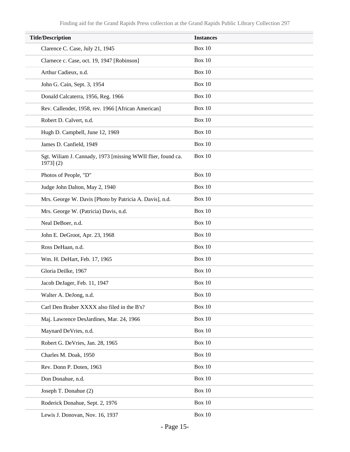| <b>Title/Description</b>                                                      | <b>Instances</b> |
|-------------------------------------------------------------------------------|------------------|
| Clarence C. Case, July 21, 1945                                               | Box 10           |
| Clarnece c. Case, oct. 19, 1947 [Robinson]                                    | Box 10           |
| Arthur Cadieux, n.d.                                                          | <b>Box 10</b>    |
| John G. Cain, Sept. 3, 1954                                                   | Box 10           |
| Donald Calcaterra, 1956, Reg. 1966                                            | Box 10           |
| Rev. Callender, 1958, rev. 1966 [African American]                            | Box 10           |
| Robert D. Calvert, n.d.                                                       | <b>Box 10</b>    |
| Hugh D. Campbell, June 12, 1969                                               | Box 10           |
| James D. Canfield, 1949                                                       | Box 10           |
| Sgt. Wiliam J. Cannady, 1973 [missing WWII flier, found ca.<br>$1973$ ] $(2)$ | Box 10           |
| Photos of People, "D"                                                         | <b>Box 10</b>    |
| Judge John Dalton, May 2, 1940                                                | Box 10           |
| Mrs. George W. Davis [Photo by Patricia A. Davis], n.d.                       | Box 10           |
| Mrs. George W. (Patricia) Davis, n.d.                                         | Box 10           |
| Neal DeBoer, n.d.                                                             | <b>Box 10</b>    |
| John E. DeGroot, Apr. 23, 1968                                                | Box 10           |
| Ross DeHaan, n.d.                                                             | Box 10           |
| Wm. H. DeHart, Feb. 17, 1965                                                  | Box 10           |
| Gloria Deilke, 1967                                                           | <b>Box 10</b>    |
| Jacob DeJager, Feb. 11, 1947                                                  | Box 10           |
| Walter A. DeJong, n.d.                                                        | <b>Box 10</b>    |
| Carl Den Braber XXXX also filed in the B's?                                   | <b>Box 10</b>    |
| Maj. Lawrence DesJardines, Mar. 24, 1966                                      | <b>Box 10</b>    |
| Maynard DeVries, n.d.                                                         | <b>Box 10</b>    |
| Robert G. DeVries, Jan. 28, 1965                                              | <b>Box 10</b>    |
| Charles M. Doak, 1950                                                         | <b>Box 10</b>    |
| Rev. Donn P. Doten, 1963                                                      | <b>Box 10</b>    |
| Don Donahue, n.d.                                                             | <b>Box 10</b>    |
| Joseph T. Donahue (2)                                                         | <b>Box 10</b>    |
| Roderick Donahue, Sept. 2, 1976                                               | <b>Box 10</b>    |
| Lewis J. Donovan, Nov. 16, 1937                                               | Box $10$         |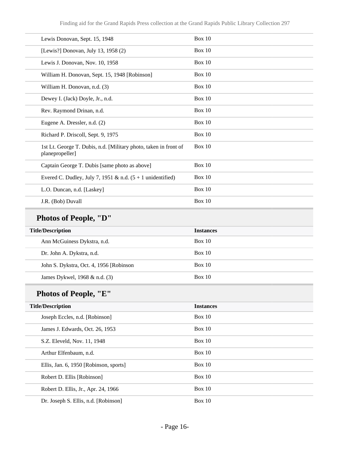| Lewis Donovan, Sept. 15, 1948                                                       | Box 10           |
|-------------------------------------------------------------------------------------|------------------|
| [Lewis?] Donovan, July 13, 1958 (2)                                                 | Box 10           |
| Lewis J. Donovan, Nov. 10, 1958                                                     | Box 10           |
| William H. Donovan, Sept. 15, 1948 [Robinson]                                       | Box 10           |
| William H. Donovan, n.d. (3)                                                        | <b>Box 10</b>    |
| Dewey I. (Jack) Doyle, Jr., n.d.                                                    | Box 10           |
| Rev. Raymond Drinan, n.d.                                                           | Box 10           |
| Eugene A. Dressler, n.d. (2)                                                        | Box 10           |
| Richard P. Driscoll, Sept. 9, 1975                                                  | Box 10           |
| 1st Lt. George T. Dubis, n.d. [Military photo, taken in front of<br>planepropeller] | Box 10           |
| Captain George T. Dubis [same photo as above]                                       | Box 10           |
| Evered C. Dudley, July 7, 1951 & n.d. $(5 + 1 \text{ unidentified})$                | Box 10           |
| L.O. Duncan, n.d. [Laskey]                                                          | Box 10           |
| J.R. (Bob) Duvall                                                                   | <b>Box 10</b>    |
| <b>Photos of People, "D"</b>                                                        |                  |
| <b>Title/Description</b>                                                            | <b>Instances</b> |
| Ann McGuiness Dykstra, n.d.                                                         | <b>Box 10</b>    |
| Dr. John A. Dykstra, n.d.                                                           | Box 10           |
| John S. Dykstra, Oct. 4, 1956 [Robinson                                             | Box 10           |
| James Dykwel, 1968 & n.d. (3)                                                       | Box 10           |
| Photos of People, "E"                                                               |                  |
| <b>Title/Description</b>                                                            | <b>Instances</b> |
| Joseph Eccles, n.d. [Robinson]                                                      | Box 10           |
| James J. Edwards, Oct. 26, 1953                                                     | Box 10           |

S.Z. Eleveld, Nov. 11, 1948 Box 10

Arthur Elfenbaum, n.d. Box 10

Ellis, Jan. 6, 1950 [Robinson, sports] Box 10

Robert D. Ellis [Robinson] Box 10

Robert D. Ellis, Jr., Apr. 24, 1966 Box 10

Dr. Joseph S. Ellis, n.d. [Robinson] Box 10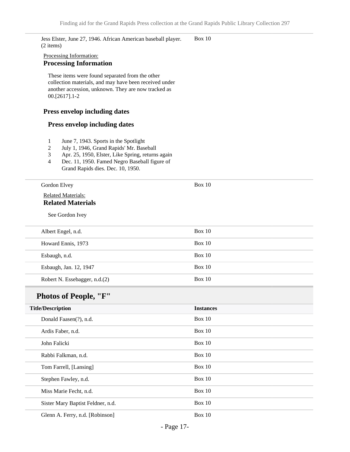Jess Elster, June 27, 1946. African American baseball player. (2 items) Box 10

#### Processing Information: **Processing Information**

These items were found separated from the other collection materials, and may have been received under another accession, unknown. They are now tracked as 00.[2617].1-2

#### **Press envelop including dates**

#### **Press envelop including dates**

- 1 June 7, 1943. Sports in the Spotlight
- 2 July 1, 1946, Grand Rapids' Mr. Baseball
- 3 Apr. 25, 1950, Elster, Like Spring, returns again
- 4 Dec. 11, 1950. Famed Negro Baseball figure of Grand Rapids dies. Dec. 10, 1950.

| Gordon Elvey                                          | Box $10$ |
|-------------------------------------------------------|----------|
| <b>Related Materials:</b><br><b>Related Materials</b> |          |
| See Gordon Ivey                                       |          |
| Albert Engel, n.d.                                    | Box 10   |
| Howard Ennis, 1973                                    | Box $10$ |
| Esbaugh, n.d.                                         | Box 10   |
| Esbaugh, Jan. 12, 1947                                | Box 10   |
| Robert N. Essebagger, n.d.(2)                         | Box $10$ |

## **Photos of People, "F"**

| <b>Title/Description</b>          | <b>Instances</b> |
|-----------------------------------|------------------|
| Donald Faasen(?), n.d.            | Box 10           |
| Ardis Faber, n.d.                 | Box 10           |
| John Falicki                      | Box 10           |
| Rabbi Falkman, n.d.               | <b>Box 10</b>    |
| Tom Farrell, [Lansing]            | Box $10$         |
| Stephen Fawley, n.d.              | Box $10$         |
| Miss Marie Fecht, n.d.            | <b>Box 10</b>    |
| Sister Mary Baptist Feldner, n.d. | <b>Box 10</b>    |
| Glenn A. Ferry, n.d. [Robinson]   | <b>Box 10</b>    |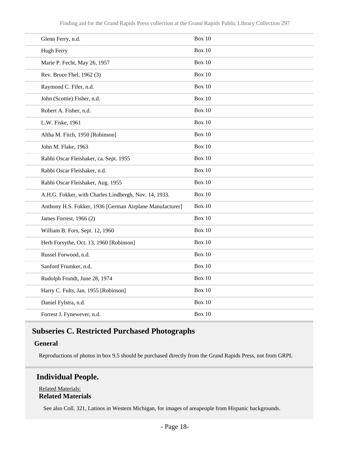| <b>Box 10</b> |
|---------------|
| <b>Box 10</b> |
| <b>Box 10</b> |
| <b>Box 10</b> |
| <b>Box 10</b> |
| <b>Box 10</b> |
| <b>Box 10</b> |
| <b>Box 10</b> |
| <b>Box 10</b> |
| <b>Box 10</b> |
| <b>Box 10</b> |
| <b>Box 10</b> |
| <b>Box 10</b> |
| <b>Box 10</b> |
| <b>Box 10</b> |
| <b>Box 10</b> |
| <b>Box 10</b> |
| <b>Box 10</b> |
| <b>Box 10</b> |
| <b>Box 10</b> |
| <b>Box 10</b> |
| <b>Box 10</b> |
| <b>Box 10</b> |
| <b>Box 10</b> |
|               |

## <span id="page-17-0"></span>**Subseries C. Restricted Purchased Photographs**

#### **General**

Reproductions of photos in box 9.5 should be purchased directly from the Grand Rapids Press, not from GRPL

### **Individual People.**

#### Related Materials: **Related Materials**

See also Coll. 321, Latinos in Western Michigan, for images of areapeople from Hispanic backgrounds.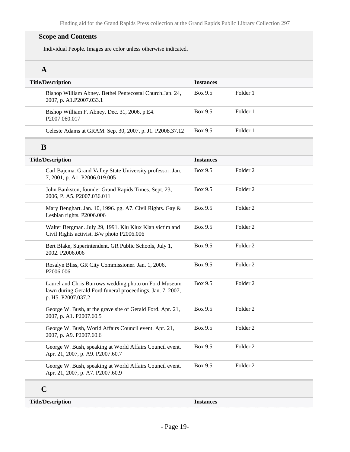#### **Scope and Contents**

Individual People. Images are color unless otherwise indicated.

## **A**

| <b>Title/Description</b>                                                                                                                  | <b>Instances</b> |                     |  |
|-------------------------------------------------------------------------------------------------------------------------------------------|------------------|---------------------|--|
| Bishop William Abney. Bethel Pentecostal Church.Jan. 24,<br>2007, p. A1.P2007.033.1                                                       | Box 9.5          | Folder 1            |  |
| Bishop William F. Abney. Dec. 31, 2006, p.E4.<br>P2007.060.017                                                                            | Box 9.5          | Folder 1            |  |
| Celeste Adams at GRAM. Sep. 30, 2007, p. J1. P2008.37.12                                                                                  | Box 9.5          | Folder 1            |  |
| B                                                                                                                                         |                  |                     |  |
| <b>Title/Description</b>                                                                                                                  | <b>Instances</b> |                     |  |
| Carl Bajema. Grand Valley State University professor. Jan.<br>7, 2001, p. A1. P2006.019.005                                               | Box 9.5          | Folder <sub>2</sub> |  |
| John Bankston, founder Grand Rapids Times. Sept. 23,<br>2006, P. A5. P2007.036.011                                                        | Box 9.5          | Folder <sub>2</sub> |  |
| Mary Benghart. Jan. 10, 1996. pg. A7. Civil Rights. Gay &<br>Lesbian rights. P2006.006                                                    | Box 9.5          | Folder <sub>2</sub> |  |
| Walter Bergman. July 29, 1991. Klu Klux Klan victim and<br>Civil Rights activist. B/w photo P2006.006                                     | Box 9.5          | Folder <sub>2</sub> |  |
| Bert Blake, Superintendent. GR Public Schools, July 1,<br>2002. P2006.006                                                                 | Box 9.5          | Folder <sub>2</sub> |  |
| Rosalyn Bliss, GR City Commissioner. Jan. 1, 2006.<br>P2006.006                                                                           | Box 9.5          | Folder <sub>2</sub> |  |
| Laurel and Chris Burrows wedding photo on Ford Museum<br>lawn during Gerald Ford funeral proceedings. Jan. 7, 2007,<br>p. H5. P2007.037.2 | Box 9.5          | Folder <sub>2</sub> |  |
| George W. Bush, at the grave site of Gerald Ford. Apr. 21,<br>2007, p. A1. P2007.60.5                                                     | Box 9.5          | Folder <sub>2</sub> |  |
| George W. Bush, World Affairs Council event. Apr. 21,<br>2007, p. A9. P2007.60.6                                                          | Box 9.5          | Folder <sub>2</sub> |  |
| George W. Bush, speaking at World Affairs Council event.<br>Apr. 21, 2007, p. A9. P2007.60.7                                              | Box 9.5          | Folder <sub>2</sub> |  |
| George W. Bush, speaking at World Affairs Council event.<br>Apr. 21, 2007, p. A7. P2007.60.9                                              | Box 9.5          | Folder <sub>2</sub> |  |
|                                                                                                                                           |                  |                     |  |

## **C**

**Title/Description Instances**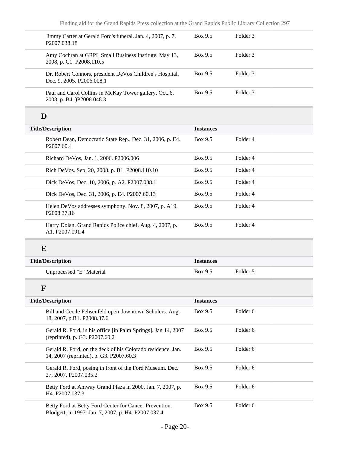| Jimmy Carter at Gerald Ford's funeral. Jan. 4, 2007, p. 7.<br>P2007.038.18                             | Box 9.5          | Folder 3            |  |
|--------------------------------------------------------------------------------------------------------|------------------|---------------------|--|
| Amy Cochran at GRPL Small Business Institute. May 13,<br>2008, p. C1. P2008.110.5                      | Box 9.5          | Folder 3            |  |
| Dr. Robert Connors, president DeVos Children's Hospital.<br>Dec. 9, 2005. P2006.008.1                  | Box 9.5          | Folder 3            |  |
| Paul and Carol Collins in McKay Tower gallery. Oct. 6,<br>2008, p. B4. )P2008.048.3                    | Box 9.5          | Folder <sub>3</sub> |  |
| D                                                                                                      |                  |                     |  |
| <b>Title/Description</b>                                                                               | <b>Instances</b> |                     |  |
| Robert Dean, Democratic State Rep., Dec. 31, 2006, p. E4.<br>P2007.60.4                                | Box 9.5          | Folder 4            |  |
| Richard DeVos, Jan. 1, 2006. P2006.006                                                                 | Box 9.5          | Folder 4            |  |
| Rich DeVos. Sep. 20, 2008, p. B1. P2008.110.10                                                         | Box 9.5          | Folder 4            |  |
| Dick DeVos, Dec. 10, 2006, p. A2. P2007.038.1                                                          | Box 9.5          | Folder 4            |  |
| Dick DeVos, Dec. 31, 2006, p. E4. P2007.60.13                                                          | Box 9.5          | Folder 4            |  |
| Helen DeVos addresses symphony. Nov. 8, 2007, p. A19.<br>P2008.37.16                                   | Box 9.5          | Folder 4            |  |
| Harry Dolan. Grand Rapids Police chief. Aug. 4, 2007, p.<br>A1. P2007.091.4                            | Box 9.5          | Folder 4            |  |
| E                                                                                                      |                  |                     |  |
| <b>Title/Description</b>                                                                               | <b>Instances</b> |                     |  |
| Unprocessed "E" Material                                                                               | Box 9.5          | Folder 5            |  |
| $\mathbf F$                                                                                            |                  |                     |  |
| <b>Title/Description</b>                                                                               | <b>Instances</b> |                     |  |
| Bill and Cecile Fehsenfeld open downtown Schulers. Aug.<br>18, 2007, p.B1. P2008.37.6                  | Box 9.5          | Folder 6            |  |
| Gerald R. Ford, in his office [in Palm Springs]. Jan 14, 2007<br>(reprinted), p. G3. P2007.60.2        | Box 9.5          | Folder 6            |  |
| Gerald R. Ford, on the deck of his Colorado residence. Jan.<br>14, 2007 (reprinted), p. G3. P2007.60.3 | Box 9.5          | Folder 6            |  |
| Gerald R. Ford, posing in front of the Ford Museum. Dec.<br>27, 2007. P2007.035.2                      | Box 9.5          | Folder <sub>6</sub> |  |
| Betty Ford at Amway Grand Plaza in 2000. Jan. 7, 2007, p.<br>H4. P2007.037.3                           | Box 9.5          | Folder 6            |  |
| Betty Ford at Betty Ford Center for Cancer Prevention,                                                 | Box 9.5          | Folder 6            |  |

Betty Ford at Betty Ford Center for Cancer Prevention, Blodgett, in 1997. Jan. 7, 2007, p. H4. P2007.037.4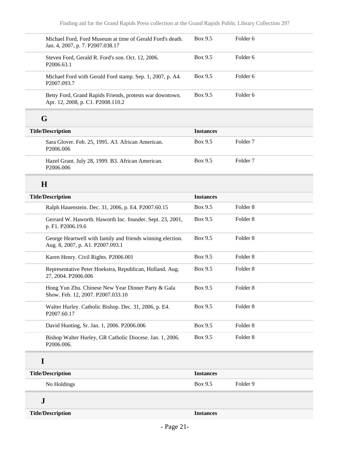| Michael Ford, Ford Museum at time of Gerald Ford's death.<br>Jan. 4, 2007, p. 7. P2007.038.17  | Box 9.5          | Folder <sub>6</sub> |  |
|------------------------------------------------------------------------------------------------|------------------|---------------------|--|
| Steven Ford, Gerald R. Ford's son. Oct. 12, 2006.<br>P2006.63.1                                | Box 9.5          | Folder <sub>6</sub> |  |
| Michael Ford with Gerald Ford stamp. Sep. 1, 2007, p. A4.<br>P2007.093.7                       | Box 9.5          | Folder <sub>6</sub> |  |
| Betty Ford, Grand Rapids Friends, protests war downtown.<br>Apr. 12, 2008, p. C1. P2008.110.2  | Box 9.5          | Folder 6            |  |
| G                                                                                              |                  |                     |  |
| <b>Title/Description</b>                                                                       | <b>Instances</b> |                     |  |
| Sara Glover. Feb. 25, 1995. A3. African American.<br>P2006.006                                 | Box 9.5          | Folder <sub>7</sub> |  |
| Hazel Grant. July 28, 1999. B3. African American.<br>P2006.006                                 | Box 9.5          | Folder <sub>7</sub> |  |
| H                                                                                              |                  |                     |  |
| <b>Title/Description</b>                                                                       | <b>Instances</b> |                     |  |
| Ralph Hauenstein. Dec. 31, 2006, p. E4. P2007.60.15                                            | Box 9.5          | Folder <sub>8</sub> |  |
| Gerrard W. Haworth. Haworth Inc. founder. Sept. 23, 2001,<br>p. F1. P2006.19.6                 | Box 9.5          | Folder <sub>8</sub> |  |
| George Heartwell with family and friends winning election.<br>Aug. 8, 2007, p. A1. P2007.093.1 | Box 9.5          | Folder <sub>8</sub> |  |
| Karen Henry. Civil Rights. P2006.001                                                           | Box 9.5          | Folder <sub>8</sub> |  |
| Representative Peter Hoekstra, Republican, Holland. Aug.<br>27, 2004. P2006.006                | Box 9.5          | Folder <sub>8</sub> |  |
| Hong Yun Zhu. Chinese New Year Dinner Party & Gala<br>Show. Feb. 12, 2007. P2007.033.10        | Box 9.5          | Folder 8            |  |
| Walter Hurley. Catholic Bishop. Dec. 31, 2006, p. E4.<br>P2007.60.17                           | Box 9.5          | Folder <sub>8</sub> |  |
| David Hunting, Sr. Jan. 1, 2006. P2006.006                                                     | Box 9.5          | Folder <sub>8</sub> |  |
| Bishop Walter Hurley, GR Catholic Diocese. Jan. 1, 2006.<br>P2006.006.                         | Box 9.5          | Folder <sub>8</sub> |  |
| I                                                                                              |                  |                     |  |
| <b>Title/Description</b>                                                                       | <b>Instances</b> |                     |  |
| No Holdings                                                                                    | Box 9.5          | Folder 9            |  |
| ${\bf J}$                                                                                      |                  |                     |  |
| <b>Title/Description</b>                                                                       | <b>Instances</b> |                     |  |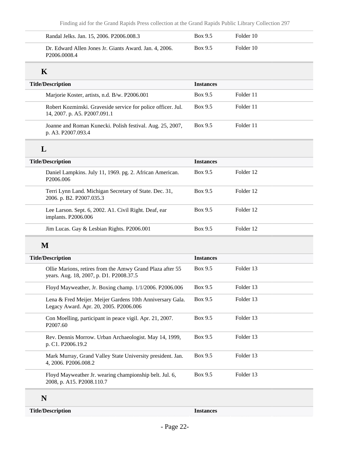| Randal Jelks. Jan. 15, 2006. P2006.008.3                                                             | Box 9.5          | Folder 10 |  |
|------------------------------------------------------------------------------------------------------|------------------|-----------|--|
| Dr. Edward Allen Jones Jr. Giants Award. Jan. 4, 2006.<br>P2006.0008.4                               | Box 9.5          | Folder 10 |  |
| $\mathbf K$                                                                                          |                  |           |  |
| <b>Title/Description</b>                                                                             | <b>Instances</b> |           |  |
| Marjorie Koster, artists, n.d. B/w. P2006.001                                                        | Box 9.5          | Folder 11 |  |
| Robert Kozminski. Graveside service for police officer. Jul.<br>14, 2007. p. A5. P2007.091.1         | Box 9.5          | Folder 11 |  |
| Joanne and Roman Kunecki. Polish festival. Aug. 25, 2007,<br>p. A3. P2007.093.4                      | Box 9.5          | Folder 11 |  |
| L                                                                                                    |                  |           |  |
| <b>Title/Description</b>                                                                             | <b>Instances</b> |           |  |
| Daniel Lampkins. July 11, 1969. pg. 2. African American.<br>P2006.006                                | Box 9.5          | Folder 12 |  |
| Terri Lynn Land. Michigan Secretary of State. Dec. 31,<br>2006. p. B2. P2007.035.3                   | Box 9.5          | Folder 12 |  |
| Lee Larson. Sept. 6, 2002. A1. Civil Right. Deaf, ear<br>implants. P2006.006                         | Box 9.5          | Folder 12 |  |
| Jim Lucas. Gay & Lesbian Rights. P2006.001                                                           | Box 9.5          | Folder 12 |  |
| M                                                                                                    |                  |           |  |
| <b>Title/Description</b>                                                                             | <b>Instances</b> |           |  |
| Ollie Marions, retires from the Amwy Grand Plaza after 55<br>years. Aug. 18, 2007, p. D1. P2008.37.5 | Box 9.5          | Folder 13 |  |
| Floyd Mayweather, Jr. Boxing champ. 1/1/2006. P2006.006                                              | Box 9.5          | Folder 13 |  |
| Lena & Fred Meijer. Meijer Gardens 10th Anniversary Gala.<br>Legacy Award. Apr. 20, 2005. P2006.006  | Box 9.5          | Folder 13 |  |
| Con Moelling, participant in peace vigil. Apr. 21, 2007.<br>P2007.60                                 | Box 9.5          | Folder 13 |  |
| Rev. Dennis Morrow. Urban Archaeologist. May 14, 1999,<br>p. C1. P2006.19.2                          | Box 9.5          | Folder 13 |  |
| Mark Murray, Grand Valley State University president. Jan.<br>4, 2006. P2006.008.2                   | Box 9.5          | Folder 13 |  |
| Floyd Mayweather Jr. wearing championship belt. Jul. 6,<br>2008, p. A15. P2008.110.7                 | Box 9.5          | Folder 13 |  |

**Title/Description Instances**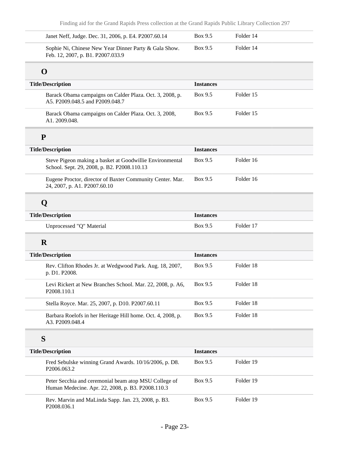| Janet Neff, Judge. Dec. 31, 2006, p. E4. P2007.60.14                                                       | Box 9.5          | Folder 14 |  |
|------------------------------------------------------------------------------------------------------------|------------------|-----------|--|
| Sophie Ni, Chinese New Year Dinner Party & Gala Show.<br>Feb. 12, 2007, p. B1. P2007.033.9                 | Box 9.5          | Folder 14 |  |
| O                                                                                                          |                  |           |  |
| <b>Title/Description</b>                                                                                   | <b>Instances</b> |           |  |
| Barack Obama campaigns on Calder Plaza. Oct. 3, 2008, p.<br>A5. P2009.048.5 and P2009.048.7                | Box 9.5          | Folder 15 |  |
| Barack Obama campaigns on Calder Plaza. Oct. 3, 2008,<br>A1.2009.048.                                      | Box 9.5          | Folder 15 |  |
| ${\bf P}$                                                                                                  |                  |           |  |
| <b>Title/Description</b>                                                                                   | <b>Instances</b> |           |  |
| Steve Pigeon making a basket at Goodwillie Environmental<br>School. Sept. 29, 2008, p. B2. P2008.110.13    | Box 9.5          | Folder 16 |  |
| Eugene Proctor, director of Baxter Community Center. Mar.<br>24, 2007, p. A1. P2007.60.10                  | Box 9.5          | Folder 16 |  |
| Q                                                                                                          |                  |           |  |
| <b>Title/Description</b>                                                                                   | <b>Instances</b> |           |  |
| Unprocessed "Q" Material                                                                                   | Box 9.5          | Folder 17 |  |
| $\mathbf R$                                                                                                |                  |           |  |
| <b>Title/Description</b>                                                                                   | <b>Instances</b> |           |  |
| Rev. Clifton Rhodes Jr. at Wedgwood Park. Aug. 18, 2007,<br>p. D1. P2008.                                  | Box 9.5          | Folder 18 |  |
| Levi Rickert at New Branches School. Mar. 22, 2008, p. A6,<br>P2008.110.1                                  | Box 9.5          | Folder 18 |  |
| Stella Royce. Mar. 25, 2007, p. D10. P2007.60.11                                                           | Box 9.5          | Folder 18 |  |
| Barbara Roelofs in her Heritage Hill home. Oct. 4, 2008, p.<br>A3. P2009.048.4                             | Box 9.5          | Folder 18 |  |
| S                                                                                                          |                  |           |  |
| <b>Title/Description</b>                                                                                   | <b>Instances</b> |           |  |
| Fred Sebulske winning Grand Awards. 10/16/2006, p. D8.<br>P2006.063.2                                      | Box 9.5          | Folder 19 |  |
| Peter Secchia and ceremonial beam atop MSU College of<br>Human Medecine. Apr. 22, 2008, p. B3. P2008.110.3 | Box 9.5          | Folder 19 |  |
| Rev. Marvin and MaLinda Sapp. Jan. 23, 2008, p. B3.<br>P2008.036.1                                         | Box 9.5          | Folder 19 |  |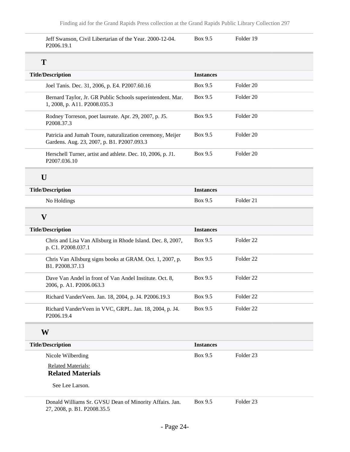Jeff Swanson, Civil Libertarian of the Year. 2000-12-04. P2006.19.1

Box 9.5 Folder 19

| <b>Title/Description</b>                                                                                | <b>Instances</b> |                      |
|---------------------------------------------------------------------------------------------------------|------------------|----------------------|
| Joel Tanis. Dec. 31, 2006, p. E4. P2007.60.16                                                           | Box 9.5          | Folder 20            |
| Bernard Taylor, Jr. GR Public Schools superintendent. Mar.<br>1, 2008, p. A11. P2008.035.3              | Box 9.5          | Folder 20            |
| Rodney Torreson, poet laureate. Apr. 29, 2007, p. J5.<br>P2008.37.3                                     | Box 9.5          | Folder 20            |
| Patricia and Jumah Toure, naturalization ceremony, Meijer<br>Gardens. Aug. 23, 2007, p. B1. P2007.093.3 | Box 9.5          | Folder 20            |
| Herschell Turner, artist and athlete. Dec. 10, 2006, p. J1.<br>P2007.036.10                             | Box 9.5          | Folder 20            |
| U                                                                                                       |                  |                      |
| <b>Title/Description</b>                                                                                | <b>Instances</b> |                      |
| No Holdings                                                                                             | Box 9.5          | Folder 21            |
| $\overline{\mathbf{V}}$                                                                                 |                  |                      |
| <b>Title/Description</b>                                                                                | <b>Instances</b> |                      |
| Chris and Lisa Van Allsburg in Rhode Island. Dec. 8, 2007,<br>p. C1. P2008.037.1                        | Box 9.5          | Folder <sub>22</sub> |
| Chris Van Allsburg signs books at GRAM. Oct. 1, 2007, p.<br>B1. P2008.37.13                             | Box 9.5          | Folder 22            |
| Dave Van Andel in front of Van Andel Institute. Oct. 8,<br>2006, p. A1. P2006.063.3                     | Box 9.5          | Folder 22            |
| Richard VanderVeen. Jan. 18, 2004, p. J4. P2006.19.3                                                    | Box 9.5          | Folder <sub>22</sub> |
|                                                                                                         | Box 9.5          | Folder 22            |

### **Title/Description Instances** Nicole Wilberding

Related Materials: **Related Materials**

See Lee Larson.

Box 9.5 Folder 23

Box 9.5 Folder 23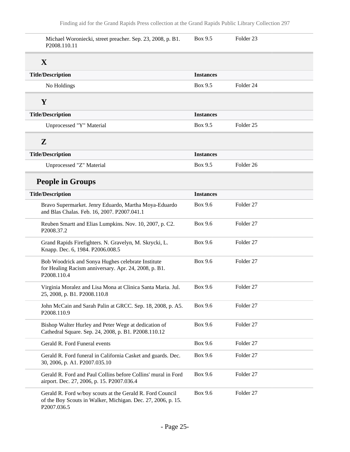| Michael Woroniecki, street preacher. Sep. 23, 2008, p. B1.<br>P2008.110.11                                                               | Box 9.5          | Folder <sub>23</sub> |
|------------------------------------------------------------------------------------------------------------------------------------------|------------------|----------------------|
| X                                                                                                                                        |                  |                      |
| <b>Title/Description</b>                                                                                                                 | <b>Instances</b> |                      |
| No Holdings                                                                                                                              | Box 9.5          | Folder 24            |
| Y                                                                                                                                        |                  |                      |
| <b>Title/Description</b>                                                                                                                 | <b>Instances</b> |                      |
| Unprocessed "Y" Material                                                                                                                 | Box 9.5          | Folder <sub>25</sub> |
| $\mathbf{Z}$                                                                                                                             |                  |                      |
| <b>Title/Description</b>                                                                                                                 | <b>Instances</b> |                      |
| Unprocessed "Z" Material                                                                                                                 | Box 9.5          | Folder <sub>26</sub> |
| <b>People in Groups</b>                                                                                                                  |                  |                      |
| <b>Title/Description</b>                                                                                                                 | <b>Instances</b> |                      |
| Bravo Supermarket. Jenry Eduardo, Martha Moya-Eduardo<br>and Blas Chalas. Feb. 16, 2007. P2007.041.1                                     | Box 9.6          | Folder <sub>27</sub> |
| Reuben Smartt and Elias Lumpkins. Nov. 10, 2007, p. C2.<br>P2008.37.2                                                                    | Box 9.6          | Folder <sub>27</sub> |
| Grand Rapids Firefighters. N. Gravelyn, M. Skrycki, L.<br>Knapp. Dec. 6, 1984. P2006.008.5                                               | Box 9.6          | Folder 27            |
| Bob Woodrick and Sonya Hughes celebrate Institute<br>for Healing Racism anniversary. Apr. 24, 2008, p. B1.<br>P2008.110.4                | Box 9.6          | Folder <sub>27</sub> |
| Virginia Moralez and Lisa Mona at Clinica Santa Maria. Jul.<br>25, 2008, p. B1. P2008.110.8                                              | Box 9.6          | Folder 27            |
| John McCain and Sarah Palin at GRCC. Sep. 18, 2008, p. A5.<br>P2008.110.9                                                                | Box 9.6          | Folder 27            |
| Bishop Walter Hurley and Peter Wege at dedication of<br>Cathedral Square. Sep. 24, 2008, p. B1. P2008.110.12                             | Box 9.6          | Folder 27            |
| Gerald R. Ford Funeral events                                                                                                            | Box 9.6          | Folder 27            |
| Gerald R. Ford funeral in California Casket and guards. Dec.<br>30, 2006, p. A1. P2007.035.10                                            | Box 9.6          | Folder 27            |
| Gerald R. Ford and Paul Collins before Collins' mural in Ford<br>airport. Dec. 27, 2006, p. 15. P2007.036.4                              | Box 9.6          | Folder 27            |
| Gerald R. Ford w/boy scouts at the Gerald R. Ford Council<br>of the Boy Scouts in Walker, Michigan. Dec. 27, 2006, p. 15.<br>P2007.036.5 | Box 9.6          | Folder 27            |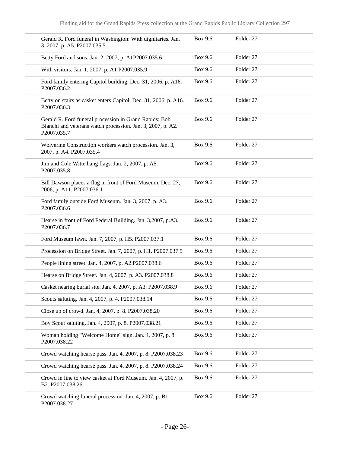| Gerald R. Ford funeral in Washington: With dignitaries. Jan.<br>3, 2007, p. A5. P2007.035.5                                          | Box 9.6        | Folder 27            |
|--------------------------------------------------------------------------------------------------------------------------------------|----------------|----------------------|
| Betty Ford and sons. Jan. 2, 2007, p. A1P2007.035.6                                                                                  | Box 9.6        | Folder 27            |
| With visitors. Jan. 1, 2007, p. A1 P2007.035.9                                                                                       | Box 9.6        | Folder 27            |
| Ford family entering Capitol building. Dec. 31, 2006, p. A16.<br>P2007.036.2                                                         | Box 9.6        | Folder 27            |
| Betty on stairs as casket enters Capitol. Dec. 31, 2006, p. A16.<br>P2007.036.3                                                      | <b>Box 9.6</b> | Folder 27            |
| Gerald R. Ford funeral procession in Grand Rapids: Bob<br>Bianchi and veterans watch procession. Jan. 3, 2007, p. A2.<br>P2007.035.7 | Box 9.6        | Folder 27            |
| Wolverine Construction workers watch procession. Jan. 3,<br>2007, p. A4. P2007.035.4                                                 | Box 9.6        | Folder 27            |
| Jim and Cole Witte hang flags. Jan. 2, 2007, p. A5.<br>P2007.035.8                                                                   | Box 9.6        | Folder 27            |
| Bill Dawson places a flag in front of Ford Museum. Dec. 27,<br>2006, p. A11. P2007.036.1                                             | Box 9.6        | Folder 27            |
| Ford family outside Ford Museum. Jan. 3, 2007, p. A3.<br>P2007.036.6                                                                 | Box 9.6        | Folder 27            |
| Hearse in front of Ford Federal Building. Jan. 3,2007, p.A3.<br>P2007.036.7                                                          | Box 9.6        | Folder 27            |
| Ford Museum lawn. Jan. 7, 2007, p. H5. P2007.037.1                                                                                   | Box 9.6        | Folder 27            |
| Procession on Bridge Street. Jan. 7, 2007, p. H1. P2007.037.5                                                                        | Box 9.6        | Folder 27            |
| People lining street. Jan. 4, 2007, p. A2.P2007.038.6                                                                                | Box 9.6        | Folder 27            |
| Hearse on Bridge Street. Jan. 4, 2007, p. A3. P2007.038.8                                                                            | Box 9.6        | Folder 27            |
| Casket nearing burial site. Jan. 4, 2007, p. A3. P2007.038.9                                                                         | Box 9.6        | Folder <sub>27</sub> |
| Scouts saluting. Jan. 4, 2007, p. 4. P2007.038.14                                                                                    | Box 9.6        | Folder 27            |
| Close up of crowd. Jan. 4, 2007, p. 8. P2007.038.20                                                                                  | <b>Box 9.6</b> | Folder 27            |
| Boy Scout saluting. Jan. 4, 2007, p. 8. P2007.038.21                                                                                 | Box 9.6        | Folder 27            |
| Woman holding "Welcome Home" sign. Jan. 4, 2007, p. 8.<br>P2007.038.22                                                               | <b>Box 9.6</b> | Folder 27            |
| Crowd watching hearse pass. Jan. 4, 2007, p. 8. P2007.038.23                                                                         | Box 9.6        | Folder 27            |
| Crowd watching hearse pass. Jan. 4, 2007, p. 8. P2007.038.24                                                                         | Box 9.6        | Folder 27            |
| Crowd in line to view casket at Ford Museum. Jan. 4, 2007, p.<br>B2. P2007.038.26                                                    | <b>Box 9.6</b> | Folder 27            |
| Crowd watching funeral procession. Jan. 4, 2007, p. B1.<br>P2007.038.27                                                              | <b>Box 9.6</b> | Folder 27            |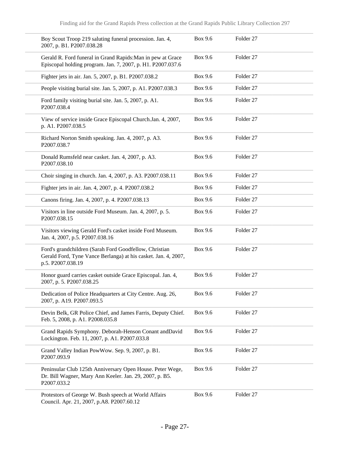| Boy Scout Troop 219 saluting funeral procession. Jan. 4,<br>2007, p. B1. P2007.038.28                                                         | Box 9.6 | Folder <sub>27</sub> |  |
|-----------------------------------------------------------------------------------------------------------------------------------------------|---------|----------------------|--|
| Gerald R. Ford funeral in Grand Rapids: Man in pew at Grace<br>Episcopal holding program. Jan. 7, 2007, p. H1. P2007.037.6                    | Box 9.6 | Folder <sub>27</sub> |  |
| Fighter jets in air. Jan. 5, 2007, p. B1. P2007.038.2                                                                                         | Box 9.6 | Folder 27            |  |
| People visiting burial site. Jan. 5, 2007, p. A1. P2007.038.3                                                                                 | Box 9.6 | Folder <sub>27</sub> |  |
| Ford family visiting burial site. Jan. 5, 2007, p. A1.<br>P2007.038.4                                                                         | Box 9.6 | Folder 27            |  |
| View of service inside Grace Episcopal Church.Jan. 4, 2007,<br>p. A1. P2007.038.5                                                             | Box 9.6 | Folder <sub>27</sub> |  |
| Richard Norton Smith speaking. Jan. 4, 2007, p. A3.<br>P2007.038.7                                                                            | Box 9.6 | Folder 27            |  |
| Donald Rumsfeld near casket. Jan. 4, 2007, p. A3.<br>P2007.038.10                                                                             | Box 9.6 | Folder 27            |  |
| Choir singing in church. Jan. 4, 2007, p. A3. P2007.038.11                                                                                    | Box 9.6 | Folder <sub>27</sub> |  |
| Fighter jets in air. Jan. 4, 2007, p. 4. P2007.038.2                                                                                          | Box 9.6 | Folder 27            |  |
| Canons firing. Jan. 4, 2007, p. 4. P2007.038.13                                                                                               | Box 9.6 | Folder <sub>27</sub> |  |
| Visitors in line outside Ford Museum. Jan. 4, 2007, p. 5.<br>P2007.038.15                                                                     | Box 9.6 | Folder <sub>27</sub> |  |
| Visitors viewing Gerald Ford's casket inside Ford Museum.<br>Jan. 4, 2007, p.5. P2007.038.16                                                  | Box 9.6 | Folder 27            |  |
| Ford's grandchildren (Sarah Ford Goodfellow, Christian<br>Gerald Ford, Tyne Vance Berlanga) at his casket. Jan. 4, 2007,<br>p.5. P2007.038.19 | Box 9.6 | Folder <sub>27</sub> |  |
| Honor guard carries casket outside Grace Episcopal. Jan. 4,<br>2007, p. 5. P2007.038.25                                                       | Box 9.6 | Folder 27            |  |
| Dedication of Police Headquarters at City Centre. Aug. 26,<br>2007, p. A19. P2007.093.5                                                       | Box 9.6 | Folder 27            |  |
| Devin Belk, GR Police Chief, and James Farris, Deputy Chief.<br>Feb. 5, 2008, p. A1. P2008.035.8                                              | Box 9.6 | Folder 27            |  |
| Grand Rapids Symphony. Deborah-Henson Conant andDavid<br>Lockington. Feb. 11, 2007, p. A1. P2007.033.8                                        | Box 9.6 | Folder 27            |  |
| Grand Valley Indian PowWow. Sep. 9, 2007, p. B1.<br>P2007.093.9                                                                               | Box 9.6 | Folder 27            |  |
| Peninsular Club 125th Anniversary Open House. Peter Wege,<br>Dr. Bill Wagner, Mary Ann Keeler. Jan. 29, 2007, p. B5.<br>P2007.033.2           | Box 9.6 | Folder 27            |  |
| Protestors of George W. Bush speech at World Affairs<br>Council. Apr. 21, 2007, p.A8. P2007.60.12                                             | Box 9.6 | Folder 27            |  |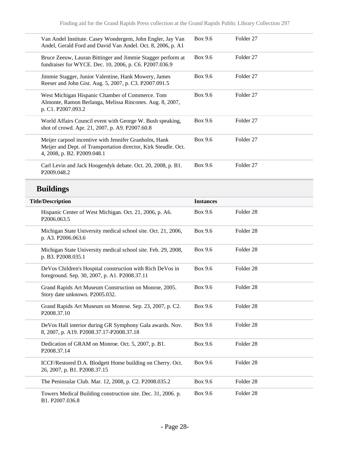| Van Andel Institute. Casey Wondergem, John Engler, Jay Van<br>Andel, Gerald Ford and David Van Andel. Oct. 8, 2006, p. A1                               | Box 9.6          | Folder <sub>27</sub> |
|---------------------------------------------------------------------------------------------------------------------------------------------------------|------------------|----------------------|
| Bruce Zeeuw, Lauran Bittinger and Jimmie Stagger perform at<br>fundraiser for WYCE. Dec. 10, 2006, p. C6. P2007.036.9                                   | Box 9.6          | Folder <sub>27</sub> |
| Jimmie Stagger, Junior Valentine, Hank Mowery, James<br>Reeser and John Gist. Aug. 5, 2007, p. C3. P2007.091.5                                          | <b>Box 9.6</b>   | Folder 27            |
| West Michigan Hispanic Chamber of Commerce. Tom<br>Almonte, Ramon Berlanga, Melissa Rincones. Aug. 8, 2007,<br>p. C1. P2007.093.2                       | Box 9.6          | Folder 27            |
| World Affairs Council event with George W. Bush speaking,<br>shot of crowd. Apr. 21, 2007, p. A9. P2007.60.8                                            | Box 9.6          | Folder <sub>27</sub> |
| Meijer carpool incentive with Jennifer Granholm, Hank<br>Meijer and Dept. of Transportation director, Kirk Steudle. Oct.<br>4, 2008, p. B2. P2009.048.1 | Box 9.6          | Folder <sub>27</sub> |
| Carl Levin and Jack Hoogendyk debate. Oct. 20, 2008, p. B1.<br>P2009.048.2                                                                              | Box 9.6          | Folder <sub>27</sub> |
| <b>Buildings</b>                                                                                                                                        |                  |                      |
| <b>Title/Description</b>                                                                                                                                | <b>Instances</b> |                      |
| Hispanic Center of West Michigan. Oct. 21, 2006, p. A6.<br>P2006.063.5                                                                                  | Box 9.6          | Folder <sub>28</sub> |
| Michigan State University medical school site. Oct. 21, 2006,<br>p. A3. P2006.063.6                                                                     | Box 9.6          | Folder <sub>28</sub> |
| Michigan State University medical school site. Feb. 29, 2008,<br>p. B3. P2008.035.1                                                                     | Box 9.6          | Folder <sub>28</sub> |
| DeVos Children's Hospital construction with Rich DeVos in<br>foreground. Sep. 30, 2007, p. A1. P2008.37.11                                              | Box 9.6          | Folder <sub>28</sub> |
| Grand Rapids Art Museum Construction on Monroe, 2005.<br>Story date unknown. P2005.032.                                                                 | Box 9.6          | Folder <sub>28</sub> |
| Grand Rapids Art Museum on Monroe. Sep. 23, 2007, p. C2.<br>P2008.37.10                                                                                 | Box 9.6          | Folder 28            |
| DeVos Hall interior during GR Symphony Gala awards. Nov.<br>8, 2007, p. A19. P2008.37.17-P2008.37.18                                                    | Box 9.6          | Folder 28            |
| Dedication of GRAM on Monroe. Oct. 5, 2007, p. B1.<br>P2008.37.14                                                                                       | Box 9.6          | Folder 28            |
| ICCF/Restored D.A. Blodgett Home building on Cherry. Oct.<br>26, 2007, p. B1. P2008.37.15                                                               | Box 9.6          | Folder 28            |
| The Peninsular Club. Mar. 12, 2008, p. C2. P2008.035.2                                                                                                  | Box 9.6          | Folder 28            |
| Towers Medical Building construction site. Dec. 31, 2006. p.<br>B1. P2007.036.8                                                                         | Box 9.6          | Folder 28            |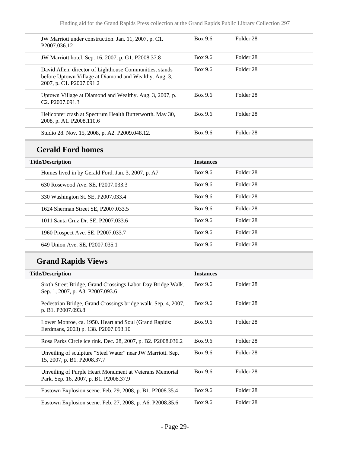| JW Marriott under construction. Jan. 11, 2007, p. C1.<br>P <sub>2007.036.12</sub>                                                            | Box 9.6 | Folder 28            |
|----------------------------------------------------------------------------------------------------------------------------------------------|---------|----------------------|
| JW Marriott hotel. Sep. 16, 2007, p. G1. P2008.37.8                                                                                          | Box 9.6 | Folder 28            |
| David Allen, director of Lighthouse Communities, stands<br>before Uptown Village at Diamond and Wealthy. Aug. 3,<br>2007, p. C1. P2007.091.2 | Box 9.6 | Folder 28            |
| Uptown Village at Diamond and Wealthy. Aug. 3, 2007, p.<br>C <sub>2</sub> . P <sub>2007.091.3</sub>                                          | Box 9.6 | Folder 28            |
| Helicopter crash at Spectrum Health Butterworth. May 30,<br>2008, p. A1. P2008.110.6                                                         | Box 9.6 | Folder <sub>28</sub> |
| Studio 28. Nov. 15, 2008, p. A2. P2009.048.12.                                                                                               | Box 9.6 | Folder 28            |
|                                                                                                                                              |         |                      |

## **Gerald Ford homes**

| <b>Title/Description</b>                           | <b>Instances</b> |                      |
|----------------------------------------------------|------------------|----------------------|
| Homes lived in by Gerald Ford. Jan. 3, 2007, p. A7 | Box 9.6          | Folder 28            |
| 630 Rosewood Ave. SE, P2007.033.3                  | Box 9.6          | Folder 28            |
| 330 Washington St. SE, P2007.033.4                 | Box 9.6          | Folder <sub>28</sub> |
| 1624 Sherman Street SE, P2007.033.5                | Box 9.6          | Folder 28            |
| 1011 Santa Cruz Dr. SE, P2007.033.6                | Box 9.6          | Folder <sub>28</sub> |
| 1960 Prospect Ave. SE, P2007.033.7                 | Box 9.6          | Folder 28            |
| 649 Union Ave. SE, P2007.035.1                     | Box 9.6          | Folder 28            |

## **Grand Rapids Views**

| <b>Title/Description</b>                                                                          | <b>Instances</b> |                      |
|---------------------------------------------------------------------------------------------------|------------------|----------------------|
| Sixth Street Bridge, Grand Crossings Labor Day Bridge Walk.<br>Sep. 1, 2007, p. A3. P2007.093.6   | Box 9.6          | Folder 28            |
| Pedestrian Bridge, Grand Crossings bridge walk. Sep. 4, 2007,<br>p. B1. P2007.093.8               | Box 9.6          | Folder 28            |
| Lower Monroe, ca. 1950. Heart and Soul (Grand Rapids:<br>Eerdmans, 2003) p. 138. P2007.093.10     | Box 9.6          | Folder <sub>28</sub> |
| Rosa Parks Circle ice rink. Dec. 28, 2007, p. B2. P2008.036.2                                     | Box 9.6          | Folder 28            |
| Unveiling of sculpture "Steel Water" near JW Marriott. Sep.<br>15, 2007, p. B1. P2008.37.7        | Box 9.6          | Folder 28            |
| Unveiling of Purple Heart Monument at Veterans Memorial<br>Park. Sep. 16, 2007, p. B1. P2008.37.9 | Box 9.6          | Folder 28            |
| Eastown Explosion scene. Feb. 29, 2008, p. B1. P2008.35.4                                         | Box 9.6          | Folder 28            |
| Eastown Explosion scene. Feb. 27, 2008, p. A6. P2008.35.6                                         | Box 9.6          | Folder <sub>28</sub> |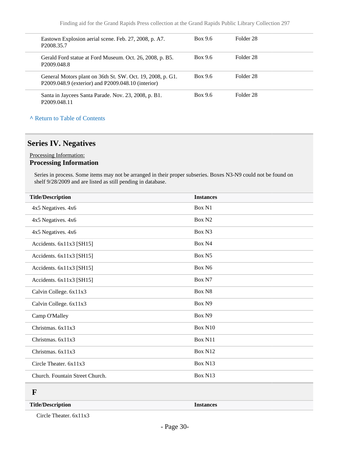| Eastown Explosion aerial scene. Feb. 27, 2008, p. A7.<br>P <sub>2008.35.7</sub>                                  | Box 9.6 | Folder 28            |  |
|------------------------------------------------------------------------------------------------------------------|---------|----------------------|--|
| Gerald Ford statue at Ford Museum. Oct. 26, 2008, p. B5.<br>P <sub>2009.048.8</sub>                              | Box 9.6 | Folder 28            |  |
| General Motors plant on 36th St. SW. Oct. 19, 2008, p. G1.<br>P2009.048.9 (exterior) and P2009.048.10 (interior) | Box 9.6 | Folder 28            |  |
| Santa in Jaycees Santa Parade. Nov. 23, 2008, p. B1.<br>P <sub>2009</sub> 048.11                                 | Box 9.6 | Folder <sub>28</sub> |  |

#### **^** [Return to Table of Contents](#page-1-0)

### <span id="page-29-0"></span>**Series IV. Negatives**

#### Processing Information: **Processing Information**

Series in process. Some items may not be arranged in their proper subseries. Boxes N3-N9 could not be found on shelf 9/28/2009 and are listed as still pending in database.

| <b>Title/Description</b>        | <b>Instances</b>   |
|---------------------------------|--------------------|
| 4x5 Negatives. 4x6              | Box N1             |
| 4x5 Negatives. 4x6              | Box N <sub>2</sub> |
| 4x5 Negatives. 4x6              | Box N3             |
| Accidents. 6x11x3 [SH15]        | Box N4             |
| Accidents. 6x11x3 [SH15]        | Box N5             |
| Accidents. 6x11x3 [SH15]        | Box N6             |
| Accidents. 6x11x3 [SH15]        | Box N7             |
| Calvin College. 6x11x3          | Box N8             |
| Calvin College. 6x11x3          | Box N9             |
| Camp O'Malley                   | Box N9             |
| Christmas. 6x11x3               | Box N10            |
| Christmas. 6x11x3               | Box N11            |
| Christmas. 6x11x3               | Box N12            |
| Circle Theater. 6x11x3          | Box N13            |
| Church. Fountain Street Church. | Box N13            |
| F                               |                    |

#### <span id="page-29-1"></span>**Title/Description Instances**

Circle Theater. 6x11x3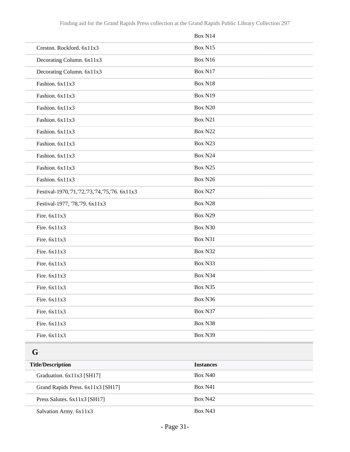|                                                     | Box N14 |
|-----------------------------------------------------|---------|
| Creston. Rockford. 6x11x3                           | Box N15 |
| Decorating Column. 6x11x3                           | Box N16 |
| Decorating Column. 6x11x3                           | Box N17 |
| Fashion. 6x11x3                                     | Box N18 |
| Fashion. 6x11x3                                     | Box N19 |
| Fashion. 6x11x3                                     | Box N20 |
| Fashion. 6x11x3                                     | Box N21 |
| Fashion. 6x11x3                                     | Box N22 |
| Fashion. 6x11x3                                     | Box N23 |
| Fashion. 6x11x3                                     | Box N24 |
| Fashion. 6x11x3                                     | Box N25 |
| Fashion. 6x11x3                                     | Box N26 |
| Festival-1970, '71, '72, '73, '74, '75, '76. 6x11x3 | Box N27 |
| Festival-1977, '78,'79. 6x11x3                      | Box N28 |
| Fire. 6x11x3                                        | Box N29 |
| Fire. 6x11x3                                        | Box N30 |
| Fire. 6x11x3                                        | Box N31 |
| Fire. 6x11x3                                        | Box N32 |
| Fire. 6x11x3                                        | Box N33 |
| Fire. 6x11x3                                        | Box N34 |
| Fire. 6x11x3                                        | Box N35 |
| Fire. 6x11x3                                        | Box N36 |
| Fire. 6x11x3                                        | Box N37 |
| Fire. 6x11x3                                        | Box N38 |
| Fire. 6x11x3                                        | Box N39 |

### <span id="page-30-0"></span>**G**

| <b>Title/Description</b>          | <b>Instances</b> |
|-----------------------------------|------------------|
| Graduation. 6x11x3 [SH17]         | Box N40          |
| Grand Rapids Press. 6x11x3 [SH17] | Box N41          |
| Press Salutes. $6x11x3$ [SH17]    | Box N42          |
| Salvation Army. 6x11x3            | Box N43          |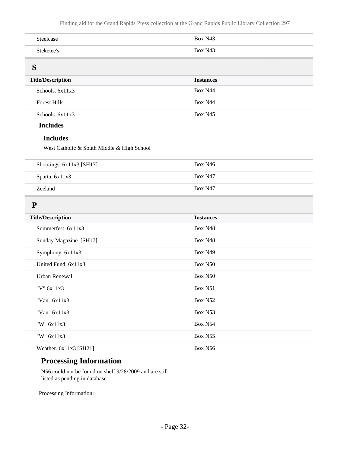<span id="page-31-0"></span>

| Steelcase                                  | Box N43          |  |
|--------------------------------------------|------------------|--|
| Steketee's                                 | Box N43          |  |
| S                                          |                  |  |
| <b>Title/Description</b>                   | <b>Instances</b> |  |
| Schools. 6x11x3                            | Box N44          |  |
| <b>Forest Hills</b>                        | Box N44          |  |
| Schools. 6x11x3                            | Box N45          |  |
| <b>Includes</b>                            |                  |  |
| <b>Includes</b>                            |                  |  |
| West Catholic & South Middle & High School |                  |  |
| Shootings. 6x11x3 [SH17]                   | Box N46          |  |
| Sparta. 6x11x3                             | Box N47          |  |
| Zeeland                                    | Box N47          |  |
| ${\bf P}$                                  |                  |  |
| <b>Title/Description</b>                   | <b>Instances</b> |  |
| Summerfest. 6x11x3                         | Box N48          |  |
| Sunday Magazine. [SH17]                    | Box N48          |  |
| Symphony. 6x11x3                           | Box N49          |  |
| United Fund. 6x11x3                        | Box N50          |  |
| <b>Urban Renewal</b>                       | Box N50          |  |
| "V" 6x11x3                                 | Box N51          |  |
| "Van" 6x11x3                               | Box N52          |  |
| "Van" 6x11x3                               | Box N53          |  |
| "W" 6x11x3                                 | Box N54          |  |
| "W" 6x11x3                                 | Box N55          |  |
| Weather. 6x11x3 [SH21]                     | Box N56          |  |

### <span id="page-31-1"></span>**Processing Information**

N56 could not be found on shelf 9/28/2009 and are still listed as pending in database.

Processing Information: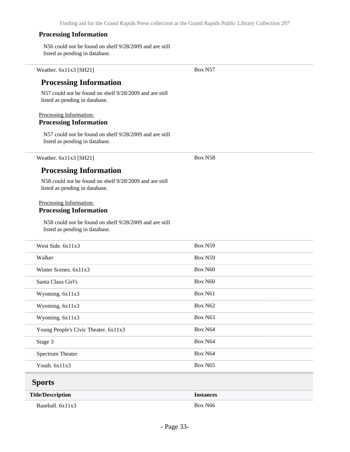Box N57

#### **Processing Information**

Weather. 6x11x3 [SH21]

N56 could not be found on shelf 9/28/2009 and are still listed as pending in database.

<span id="page-32-0"></span>

| <b>Processing Information</b><br>N57 could not be found on shelf 9/28/2009 and are still  |                  |
|-------------------------------------------------------------------------------------------|------------------|
| listed as pending in database.                                                            |                  |
| Processing Information:                                                                   |                  |
| <b>Processing Information</b>                                                             |                  |
| N57 could not be found on shelf 9/28/2009 and are still<br>listed as pending in database. |                  |
| Weather. 6x11x3 [SH21]                                                                    | Box N58          |
| <b>Processing Information</b>                                                             |                  |
| N58 could not be found on shelf 9/28/2009 and are still<br>listed as pending in database. |                  |
| Processing Information:<br><b>Processing Information</b>                                  |                  |
| N58 could not be found on shelf 9/28/2009 and are still<br>listed as pending in database. |                  |
| West Side. 6x11x3                                                                         | Box N59          |
| Walker                                                                                    | Box N59          |
| Winter Scenes. 6x11x3                                                                     | Box N60          |
| Santa Claus Girl's                                                                        | Box N60          |
| Wyoming. 6x11x3                                                                           | Box N61          |
| Wyoming. 6x11x3                                                                           | Box N62          |
| Wyoming. 6x11x3                                                                           | Box N63          |
| Young People's Civic Theater. 6x11x3                                                      | Box N64          |
| Stage 3                                                                                   | Box N64          |
| <b>Spectrum Theater</b>                                                                   | Box N64          |
| Youth. 6x11x3                                                                             | Box N65          |
| <b>Sports</b>                                                                             |                  |
| <b>Title/Description</b>                                                                  | <b>Instances</b> |
| Baseball. 6x11x3                                                                          | Box N66          |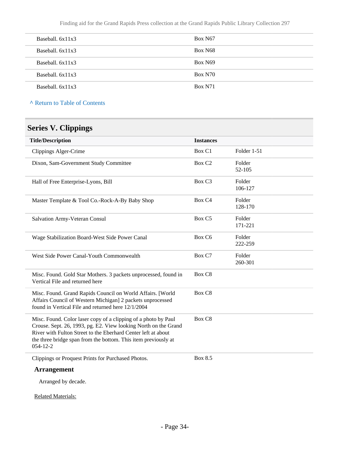Finding aid for the Grand Rapids Press collection at the Grand Rapids Public Library Collection 297

| Baseball, $6x11x3$ | Box N67             |
|--------------------|---------------------|
| Baseball, $6x11x3$ | Box N <sub>68</sub> |
| Baseball, $6x11x3$ | <b>Box N69</b>      |
| Baseball, $6x11x3$ | <b>Box N70</b>      |
| Baseball, $6x11x3$ | <b>Box N71</b>      |

**^** [Return to Table of Contents](#page-1-0)

## <span id="page-33-0"></span>**Series V. Clippings**

| <b>Title/Description</b>                                                                                                                                                                                                                                                               | <b>Instances</b>   |                   |
|----------------------------------------------------------------------------------------------------------------------------------------------------------------------------------------------------------------------------------------------------------------------------------------|--------------------|-------------------|
| Clippings Alger-Crime                                                                                                                                                                                                                                                                  | Box C1             | Folder 1-51       |
| Dixon, Sam-Government Study Committee                                                                                                                                                                                                                                                  | Box C <sub>2</sub> | Folder<br>52-105  |
| Hall of Free Enterprise-Lyons, Bill                                                                                                                                                                                                                                                    | Box C <sub>3</sub> | Folder<br>106-127 |
| Master Template & Tool Co.-Rock-A-By Baby Shop                                                                                                                                                                                                                                         | Box C <sub>4</sub> | Folder<br>128-170 |
| Salvation Army-Veteran Consul                                                                                                                                                                                                                                                          | Box C5             | Folder<br>171-221 |
| Wage Stabilization Board-West Side Power Canal                                                                                                                                                                                                                                         | Box C6             | Folder<br>222-259 |
| West Side Power Canal-Youth Commonwealth                                                                                                                                                                                                                                               | Box C7             | Folder<br>260-301 |
| Misc. Found. Gold Star Mothers. 3 packets unprocessed, found in<br>Vertical File and returned here                                                                                                                                                                                     | Box C8             |                   |
| Misc. Found. Grand Rapids Council on World Affairs. [World<br>Affairs Council of Western Michigan] 2 packets unprocessed<br>found in Vertical File and returned here 12/1/2004                                                                                                         | Box C8             |                   |
| Misc. Found. Color laser copy of a clipping of a photo by Paul<br>Crouse. Sept. 26, 1993, pg. E2. View looking North on the Grand<br>River with Fulton Street to the Eberhard Center left at about<br>the three bridge span from the bottom. This item previously at<br>$054 - 12 - 2$ | Box C8             |                   |
| Clippings or Proquest Prints for Purchased Photos.                                                                                                                                                                                                                                     | Box 8.5            |                   |
| <b>Arrangement</b>                                                                                                                                                                                                                                                                     |                    |                   |
| Amongod hy dogoda                                                                                                                                                                                                                                                                      |                    |                   |

Arranged by decade.

Related Materials: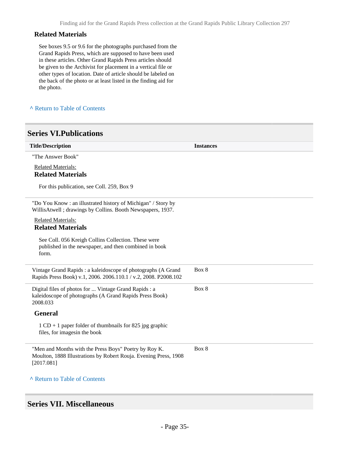#### **Related Materials**

See boxes 9.5 or 9.6 for the photographs purchased from the Grand Rapids Press, which are supposed to have been used in these articles. Other Grand Rapids Press articles should be given to the Archivist for placement in a vertical file or other types of location. Date of article should be labeled on the back of the photo or at least listed in the finding aid for the photo.

**^** [Return to Table of Contents](#page-1-0)

#### <span id="page-34-0"></span>**Series VI.Publications**

| <b>Title/Description</b>                                                                                                                | <b>Instances</b> |
|-----------------------------------------------------------------------------------------------------------------------------------------|------------------|
| "The Answer Book"                                                                                                                       |                  |
| <b>Related Materials:</b><br><b>Related Materials</b>                                                                                   |                  |
| For this publication, see Coll. 259, Box 9                                                                                              |                  |
| "Do You Know: an illustrated history of Michigan" / Story by<br>WillisAtwell; drawings by Collins. Booth Newspapers, 1937.              |                  |
| <b>Related Materials:</b><br><b>Related Materials</b>                                                                                   |                  |
| See Coll. 056 Kreigh Collins Collection. These were<br>published in the newspaper, and then combined in book<br>form.                   |                  |
| Vintage Grand Rapids : a kaleidoscope of photographs (A Grand<br>Rapids Press Book) v.1, 2006. 2006.110.1 / v.2, 2008. P2008.102        | Box 8            |
| Digital files of photos for  Vintage Grand Rapids : a<br>kaleidoscope of photographs (A Grand Rapids Press Book)<br>2008.033            | Box 8            |
| <b>General</b>                                                                                                                          |                  |
| $1 \text{ CD} + 1$ paper folder of thumbnails for 825 jpg graphic<br>files, for images in the book                                      |                  |
| "Men and Months with the Press Boys" Poetry by Roy K.<br>Moulton, 1888 Illustrations by Robert Rouja. Evening Press, 1908<br>[2017.081] | Box 8            |
| A Return to Table of Contents                                                                                                           |                  |

### <span id="page-34-1"></span>**Series VII. Miscellaneous**